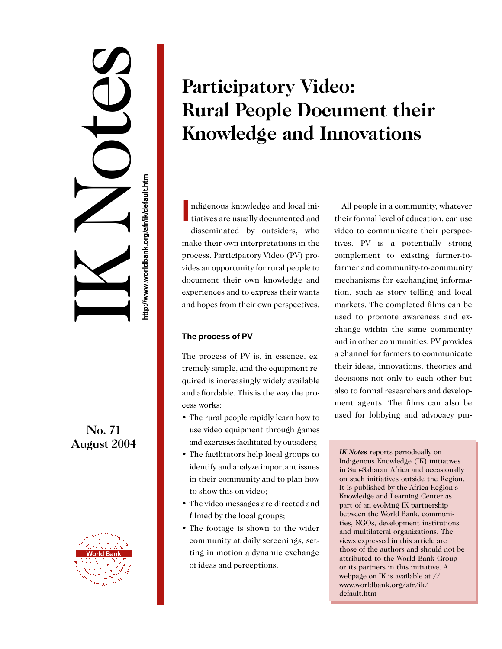# IK Notes http://www.worldbank.org/afr/ik/default.htm **http://www.worldbank.org/afr/ik/default.htm**

No. 71 August 2004



## **Participatory Video: Rural People Document their Knowledge and Innovations**

**I** tiatives are usually documented and ndigenous knowledge and local inidisseminated by outsiders, who make their own interpretations in the process. Participatory Video (PV) provides an opportunity for rural people to document their own knowledge and experiences and to express their wants and hopes from their own perspectives.

### **The process of PV**

The process of PV is, in essence, extremely simple, and the equipment required is increasingly widely available and affordable. This is the way the process works:

- The rural people rapidly learn how to use video equipment through games and exercises facilitated by outsiders;
- The facilitators help local groups to identify and analyze important issues in their community and to plan how to show this on video;
- The video messages are directed and filmed by the local groups;
- The footage is shown to the wider community at daily screenings, setting in motion a dynamic exchange of ideas and perceptions.

All people in a community, whatever their formal level of education, can use video to communicate their perspectives. PV is a potentially strong complement to existing farmer-tofarmer and community-to-community mechanisms for exchanging information, such as story telling and local markets. The completed films can be used to promote awareness and exchange within the same community and in other communities. PV provides a channel for farmers to communicate their ideas, innovations, theories and decisions not only to each other but also to formal researchers and development agents. The films can also be used for lobbying and advocacy pur-

*IK Notes* reports periodically on Indigenous Knowledge (IK) initiatives in Sub-Saharan Africa and occasionally on such initiatives outside the Region. It is published by the Africa Region's Knowledge and Learning Center as part of an evolving IK partnership between the World Bank, communities, NGOs, development institutions and multilateral organizations. The views expressed in this article are those of the authors and should not be attributed to the World Bank Group or its partners in this initiative. A webpage on IK is available at // www.worldbank.org/afr/ik/ default.htm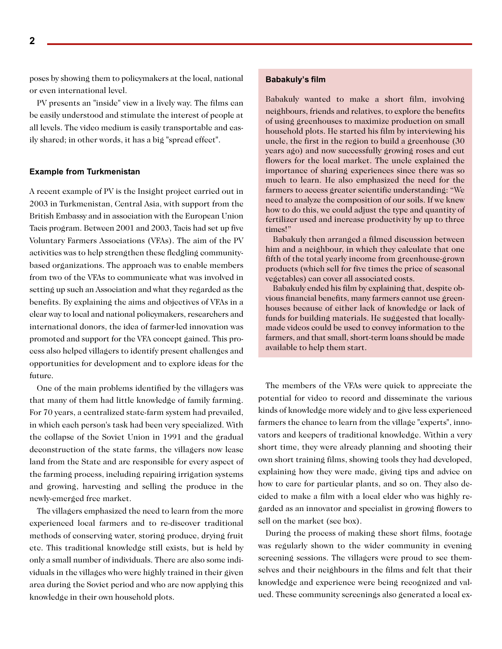poses by showing them to policymakers at the local, national or even international level.

PV presents an "inside" view in a lively way. The films can be easily understood and stimulate the interest of people at all levels. The video medium is easily transportable and easily shared; in other words, it has a big "spread effect".

#### **Example from Turkmenistan**

A recent example of PV is the Insight project carried out in 2003 in Turkmenistan, Central Asia, with support from the British Embassy and in association with the European Union Tacis program. Between 2001 and 2003, Tacis had set up five Voluntary Farmers Associations (VFAs). The aim of the PV activities was to help strengthen these fledgling communitybased organizations. The approach was to enable members from two of the VFAs to communicate what was involved in setting up such an Association and what they regarded as the benefits. By explaining the aims and objectives of VFAs in a clear way to local and national policymakers, researchers and international donors, the idea of farmer-led innovation was promoted and support for the VFA concept gained. This process also helped villagers to identify present challenges and opportunities for development and to explore ideas for the future.

One of the main problems identified by the villagers was that many of them had little knowledge of family farming. For 70 years, a centralized state-farm system had prevailed, in which each person's task had been very specialized. With the collapse of the Soviet Union in 1991 and the gradual deconstruction of the state farms, the villagers now lease land from the State and are responsible for every aspect of the farming process, including repairing irrigation systems and growing, harvesting and selling the produce in the newly-emerged free market.

The villagers emphasized the need to learn from the more experienced local farmers and to re-discover traditional methods of conserving water, storing produce, drying fruit etc. This traditional knowledge still exists, but is held by only a small number of individuals. There are also some individuals in the villages who were highly trained in their given area during the Soviet period and who are now applying this knowledge in their own household plots.

#### **Babakuly's film**

Babakuly wanted to make a short film, involving neighbours, friends and relatives, to explore the benefits of using greenhouses to maximize production on small household plots. He started his film by interviewing his uncle, the first in the region to build a greenhouse (30 years ago) and now successfully growing roses and cut flowers for the local market. The uncle explained the importance of sharing experiences since there was so much to learn. He also emphasized the need for the farmers to access greater scientific understanding: "We need to analyze the composition of our soils. If we knew how to do this, we could adjust the type and quantity of fertilizer used and increase productivity by up to three times!"

Babakuly then arranged a filmed discussion between him and a neighbour, in which they calculate that one fifth of the total yearly income from greenhouse-grown products (which sell for five times the price of seasonal vegetables) can cover all associated costs.

Babakuly ended his film by explaining that, despite obvious financial benefits, many farmers cannot use greenhouses because of either lack of knowledge or lack of funds for building materials. He suggested that locallymade videos could be used to convey information to the farmers, and that small, short-term loans should be made available to help them start.

The members of the VFAs were quick to appreciate the potential for video to record and disseminate the various kinds of knowledge more widely and to give less experienced farmers the chance to learn from the village "experts", innovators and keepers of traditional knowledge. Within a very short time, they were already planning and shooting their own short training films, showing tools they had developed, explaining how they were made, giving tips and advice on how to care for particular plants, and so on. They also decided to make a film with a local elder who was highly regarded as an innovator and specialist in growing flowers to sell on the market (see box).

During the process of making these short films, footage was regularly shown to the wider community in evening screening sessions. The villagers were proud to see themselves and their neighbours in the films and felt that their knowledge and experience were being recognized and valued. These community screenings also generated a local ex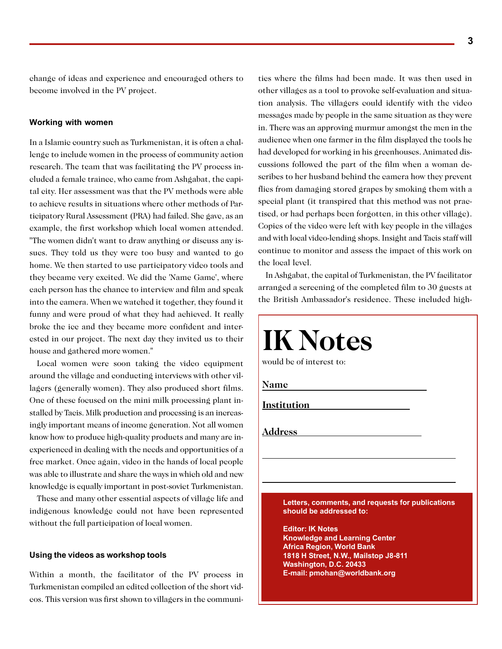change of ideas and experience and encouraged others to become involved in the PV project.

#### **Working with women**

In a Islamic country such as Turkmenistan, it is often a challenge to include women in the process of community action research. The team that was facilitating the PV process included a female trainee, who came from Ashgabat, the capital city. Her assessment was that the PV methods were able to achieve results in situations where other methods of Participatory Rural Assessment (PRA) had failed. She gave, as an example, the first workshop which local women attended. "The women didn't want to draw anything or discuss any issues. They told us they were too busy and wanted to go home. We then started to use participatory video tools and they became very excited. We did the 'Name Game', where each person has the chance to interview and film and speak into the camera. When we watched it together, they found it funny and were proud of what they had achieved. It really broke the ice and they became more confident and interested in our project. The next day they invited us to their house and gathered more women."

Local women were soon taking the video equipment around the village and conducting interviews with other villagers (generally women). They also produced short films. One of these focused on the mini milk processing plant installed by Tacis. Milk production and processing is an increasingly important means of income generation. Not all women know how to produce high-quality products and many are inexperienced in dealing with the needs and opportunities of a free market. Once again, video in the hands of local people was able to illustrate and share the ways in which old and new knowledge is equally important in post-soviet Turkmenistan.

These and many other essential aspects of village life and indigenous knowledge could not have been represented without the full participation of local women.

#### **Using the videos as workshop tools**

Within a month, the facilitator of the PV process in Turkmenistan compiled an edited collection of the short videos. This version was first shown to villagers in the communities where the films had been made. It was then used in other villages as a tool to provoke self-evaluation and situation analysis. The villagers could identify with the video messages made by people in the same situation as they were in. There was an approving murmur amongst the men in the audience when one farmer in the film displayed the tools he had developed for working in his greenhouses. Animated discussions followed the part of the film when a woman describes to her husband behind the camera how they prevent flies from damaging stored grapes by smoking them with a special plant (it transpired that this method was not practised, or had perhaps been forgotten, in this other village). Copies of the video were left with key people in the villages and with local video-lending shops. Insight and Tacis staff will continue to monitor and assess the impact of this work on the local level.

In Ashgabat, the capital of Turkmenistan, the PV facilitator arranged a screening of the completed film to 30 guests at the British Ambassador's residence. These included high-

| <b>IK Notes</b><br>would be of interest to:                                 |
|-----------------------------------------------------------------------------|
| Name                                                                        |
| Institution                                                                 |
| <b>Address</b>                                                              |
|                                                                             |
| Letters, comments, and requests for publications<br>should be addressed to: |
| <b>Editor: IK Notes</b><br><b>Knowledge and Learning Center</b>             |
| <b>Africa Region, World Bank</b><br>1818 H Street, N.W., Mailstop J8-811    |
| Washington, D.C. 20433<br>E-mail: pmohan@worldbank.org                      |
|                                                                             |